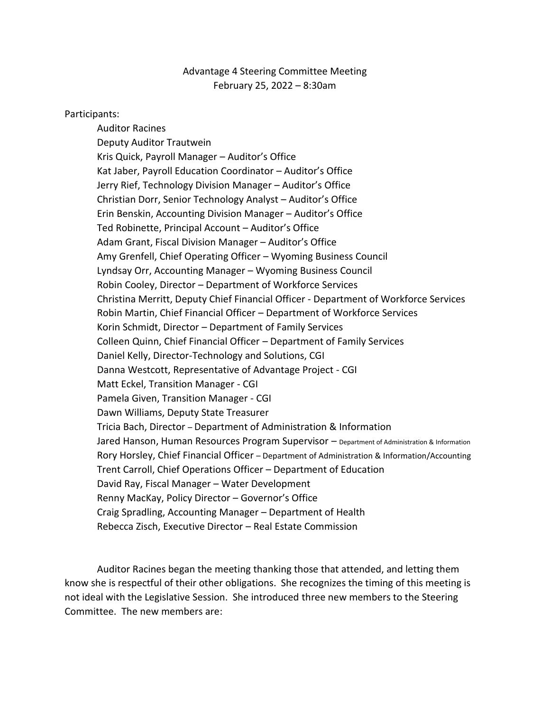## Advantage 4 Steering Committee Meeting February 25, 2022 – 8:30am

## Participants:

Auditor Racines Deputy Auditor Trautwein Kris Quick, Payroll Manager – Auditor's Office Kat Jaber, Payroll Education Coordinator – Auditor's Office Jerry Rief, Technology Division Manager – Auditor's Office Christian Dorr, Senior Technology Analyst – Auditor's Office Erin Benskin, Accounting Division Manager – Auditor's Office Ted Robinette, Principal Account – Auditor's Office Adam Grant, Fiscal Division Manager – Auditor's Office Amy Grenfell, Chief Operating Officer – Wyoming Business Council Lyndsay Orr, Accounting Manager – Wyoming Business Council Robin Cooley, Director – Department of Workforce Services Christina Merritt, Deputy Chief Financial Officer - Department of Workforce Services Robin Martin, Chief Financial Officer – Department of Workforce Services Korin Schmidt, Director – Department of Family Services Colleen Quinn, Chief Financial Officer – Department of Family Services Daniel Kelly, Director-Technology and Solutions, CGI Danna Westcott, Representative of Advantage Project - CGI Matt Eckel, Transition Manager - CGI Pamela Given, Transition Manager - CGI Dawn Williams, Deputy State Treasurer Tricia Bach, Director – Department of Administration & Information Jared Hanson, Human Resources Program Supervisor – Department of Administration & Information Rory Horsley, Chief Financial Officer – Department of Administration & Information/Accounting Trent Carroll, Chief Operations Officer – Department of Education David Ray, Fiscal Manager – Water Development Renny MacKay, Policy Director – Governor's Office Craig Spradling, Accounting Manager – Department of Health Rebecca Zisch, Executive Director – Real Estate Commission

Auditor Racines began the meeting thanking those that attended, and letting them know she is respectful of their other obligations. She recognizes the timing of this meeting is not ideal with the Legislative Session. She introduced three new members to the Steering Committee. The new members are: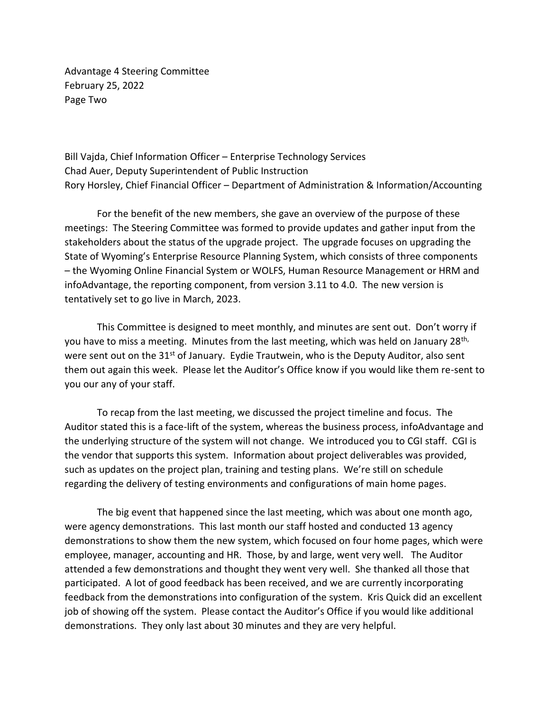Advantage 4 Steering Committee February 25, 2022 Page Two

Bill Vajda, Chief Information Officer – Enterprise Technology Services Chad Auer, Deputy Superintendent of Public Instruction Rory Horsley, Chief Financial Officer – Department of Administration & Information/Accounting

For the benefit of the new members, she gave an overview of the purpose of these meetings: The Steering Committee was formed to provide updates and gather input from the stakeholders about the status of the upgrade project. The upgrade focuses on upgrading the State of Wyoming's Enterprise Resource Planning System, which consists of three components – the Wyoming Online Financial System or WOLFS, Human Resource Management or HRM and infoAdvantage, the reporting component, from version 3.11 to 4.0. The new version is tentatively set to go live in March, 2023.

This Committee is designed to meet monthly, and minutes are sent out. Don't worry if you have to miss a meeting. Minutes from the last meeting, which was held on January 28<sup>th,</sup> were sent out on the 31<sup>st</sup> of January. Eydie Trautwein, who is the Deputy Auditor, also sent them out again this week. Please let the Auditor's Office know if you would like them re-sent to you our any of your staff.

To recap from the last meeting, we discussed the project timeline and focus. The Auditor stated this is a face-lift of the system, whereas the business process, infoAdvantage and the underlying structure of the system will not change. We introduced you to CGI staff. CGI is the vendor that supports this system. Information about project deliverables was provided, such as updates on the project plan, training and testing plans. We're still on schedule regarding the delivery of testing environments and configurations of main home pages.

The big event that happened since the last meeting, which was about one month ago, were agency demonstrations. This last month our staff hosted and conducted 13 agency demonstrations to show them the new system, which focused on four home pages, which were employee, manager, accounting and HR. Those, by and large, went very well. The Auditor attended a few demonstrations and thought they went very well. She thanked all those that participated. A lot of good feedback has been received, and we are currently incorporating feedback from the demonstrations into configuration of the system. Kris Quick did an excellent job of showing off the system. Please contact the Auditor's Office if you would like additional demonstrations. They only last about 30 minutes and they are very helpful.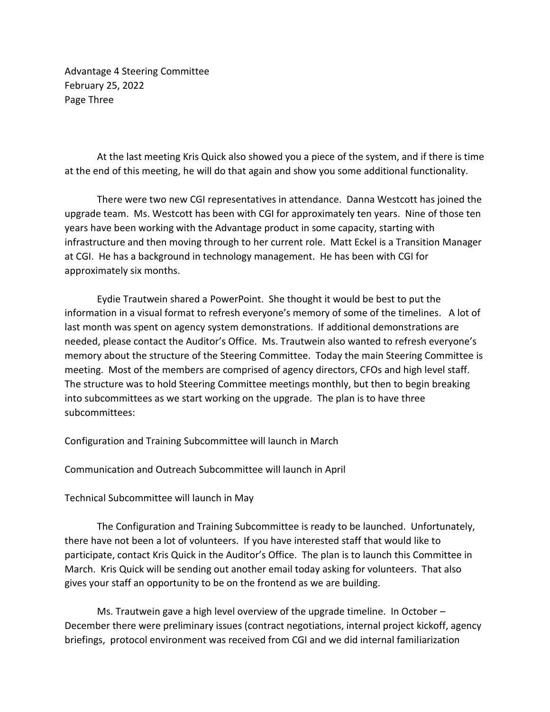Advantage 4 Steering Committee February 25, 2022 Page Three

At the last meeting Kris Quick also showed you a piece of the system, and if there is time at the end of this meeting, he will do that again and show you some additional functionality.

There were two new CGI representatives in attendance. Danna Westcott has joined the upgrade team. Ms. Westcott has been with CGI for approximately ten years. Nine of those ten years have been working with the Advantage product in some capacity, starting with infrastructure and then moving through to her current role. Matt Eckel is a Transition Manager at CGI. He has a background in technology management. He has been with CGI for approximately six months.

Eydie Trautwein shared a PowerPoint. She thought it would be best to put the information in a visual format to refresh everyone's memory of some of the timelines. A lot of last month was spent on agency system demonstrations. If additional demonstrations are needed, please contact the Auditor's Office. Ms. Trautwein also wanted to refresh everyone's memory about the structure of the Steering Committee. Today the main Steering Committee is meeting. Most of the members are comprised of agency directors, CFOs and high level staff. The structure was to hold Steering Committee meetings monthly, but then to begin breaking into subcommittees as we start working on the upgrade. The plan is to have three subcommittees:

Configuration and Training Subcommittee will launch in March

Communication and Outreach Subcommittee will launch in April

Technical Subcommittee will launch in May

The Configuration and Training Subcommittee is ready to be launched. Unfortunately, there have not been a lot of volunteers. If you have interested staff that would like to participate, contact Kris Quick in the Auditor's Office. The plan is to launch this Committee in March. Kris Quick will be sending out another email today asking for volunteers. That also gives your staff an opportunity to be on the frontend as we are building.

Ms. Trautwein gave a high level overview of the upgrade timeline. In October – December there were preliminary issues (contract negotiations, internal project kickoff, agency briefings, protocol environment was received from CGI and we did internal familiarization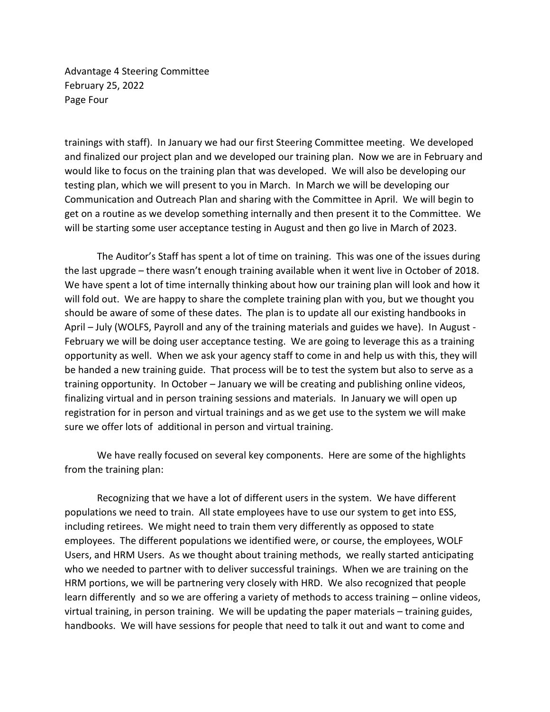Advantage 4 Steering Committee February 25, 2022 Page Four

trainings with staff). In January we had our first Steering Committee meeting. We developed and finalized our project plan and we developed our training plan. Now we are in February and would like to focus on the training plan that was developed. We will also be developing our testing plan, which we will present to you in March. In March we will be developing our Communication and Outreach Plan and sharing with the Committee in April. We will begin to get on a routine as we develop something internally and then present it to the Committee. We will be starting some user acceptance testing in August and then go live in March of 2023.

The Auditor's Staff has spent a lot of time on training. This was one of the issues during the last upgrade – there wasn't enough training available when it went live in October of 2018. We have spent a lot of time internally thinking about how our training plan will look and how it will fold out. We are happy to share the complete training plan with you, but we thought you should be aware of some of these dates. The plan is to update all our existing handbooks in April – July (WOLFS, Payroll and any of the training materials and guides we have). In August - February we will be doing user acceptance testing. We are going to leverage this as a training opportunity as well. When we ask your agency staff to come in and help us with this, they will be handed a new training guide. That process will be to test the system but also to serve as a training opportunity. In October – January we will be creating and publishing online videos, finalizing virtual and in person training sessions and materials. In January we will open up registration for in person and virtual trainings and as we get use to the system we will make sure we offer lots of additional in person and virtual training.

We have really focused on several key components. Here are some of the highlights from the training plan:

Recognizing that we have a lot of different users in the system. We have different populations we need to train. All state employees have to use our system to get into ESS, including retirees. We might need to train them very differently as opposed to state employees. The different populations we identified were, or course, the employees, WOLF Users, and HRM Users. As we thought about training methods, we really started anticipating who we needed to partner with to deliver successful trainings. When we are training on the HRM portions, we will be partnering very closely with HRD. We also recognized that people learn differently and so we are offering a variety of methods to access training – online videos, virtual training, in person training. We will be updating the paper materials – training guides, handbooks. We will have sessions for people that need to talk it out and want to come and